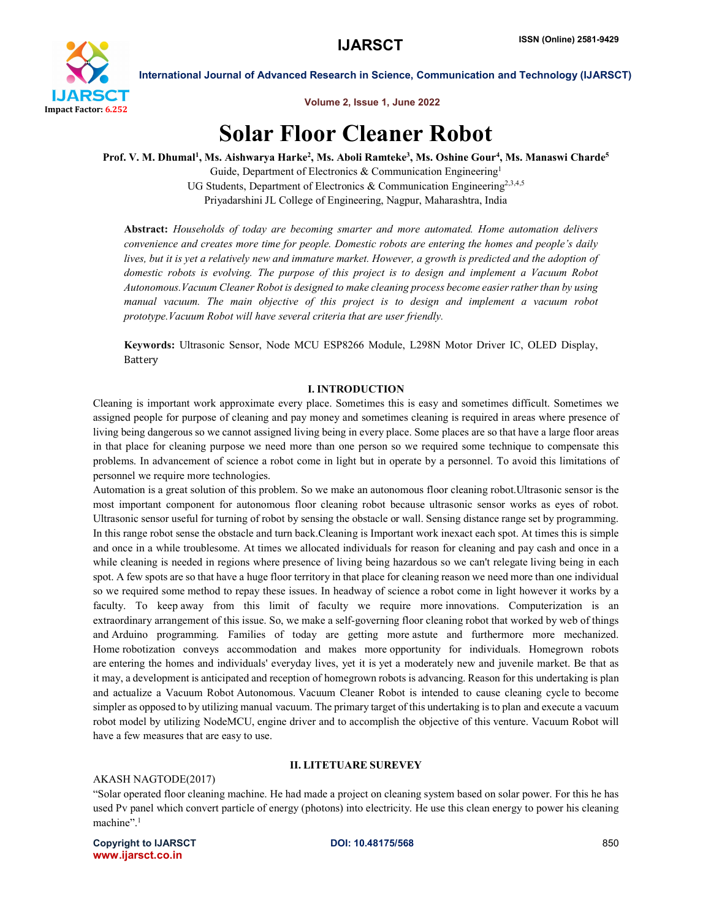

Volume 2, Issue 1, June 2022

# Solar Floor Cleaner Robot

Prof. V. M. Dhumal<sup>1</sup>, Ms. Aishwarya Harke<sup>2</sup>, Ms. Aboli Ramteke<sup>3</sup>, Ms. Oshine Gour<sup>4</sup>, Ms. Manaswi Charde<sup>5</sup>

Guide, Department of Electronics & Communication Engineering<sup>1</sup> UG Students, Department of Electronics & Communication Engineering<sup>2,3,4,5</sup> Priyadarshini JL College of Engineering, Nagpur, Maharashtra, India

Abstract: *Households of today are becoming smarter and more automated. Home automation delivers convenience and creates more time for people. Domestic robots are entering the homes and people's daily lives, but it is yet a relatively new and immature market. However, a growth is predicted and the adoption of domestic robots is evolving. The purpose of this project is to design and implement a Vacuum Robot Autonomous.Vacuum Cleaner Robot is designed to make cleaning process become easier rather than by using manual vacuum. The main objective of this project is to design and implement a vacuum robot prototype.Vacuum Robot will have several criteria that are user friendly.*

Keywords: Ultrasonic Sensor, Node MCU ESP8266 Module, L298N Motor Driver IC, OLED Display, Battery

# I. INTRODUCTION

Cleaning is important work approximate every place. Sometimes this is easy and sometimes difficult. Sometimes we assigned people for purpose of cleaning and pay money and sometimes cleaning is required in areas where presence of living being dangerous so we cannot assigned living being in every place. Some places are so that have a large floor areas in that place for cleaning purpose we need more than one person so we required some technique to compensate this problems. In advancement of science a robot come in light but in operate by a personnel. To avoid this limitations of personnel we require more technologies.

Automation is a great solution of this problem. So we make an autonomous floor cleaning robot.Ultrasonic sensor is the most important component for autonomous floor cleaning robot because ultrasonic sensor works as eyes of robot. Ultrasonic sensor useful for turning of robot by sensing the obstacle or wall. Sensing distance range set by programming. In this range robot sense the obstacle and turn back.Cleaning is Important work inexact each spot. At times this is simple and once in a while troublesome. At times we allocated individuals for reason for cleaning and pay cash and once in a while cleaning is needed in regions where presence of living being hazardous so we can't relegate living being in each spot. A few spots are so that have a huge floor territory in that place for cleaning reason we need more than one individual so we required some method to repay these issues. In headway of science a robot come in light however it works by a faculty. To keep away from this limit of faculty we require more innovations. Computerization is an extraordinary arrangement of this issue. So, we make a self-governing floor cleaning robot that worked by web of things and Arduino programming. Families of today are getting more astute and furthermore more mechanized. Home robotization conveys accommodation and makes more opportunity for individuals. Homegrown robots are entering the homes and individuals' everyday lives, yet it is yet a moderately new and juvenile market. Be that as it may, a development is anticipated and reception of homegrown robots is advancing. Reason for this undertaking is plan and actualize a Vacuum Robot Autonomous. Vacuum Cleaner Robot is intended to cause cleaning cycle to become simpler as opposed to by utilizing manual vacuum. The primary target of this undertaking is to plan and execute a vacuum robot model by utilizing NodeMCU, engine driver and to accomplish the objective of this venture. Vacuum Robot will have a few measures that are easy to use.

# II. LITETUARE SUREVEY

# AKASH NAGTODE(2017)

"Solar operated floor cleaning machine. He had made a project on cleaning system based on solar power. For this he has used Pv panel which convert particle of energy (photons) into electricity. He use this clean energy to power his cleaning machine".1

Copyright to IJARSCT **DOI: 10.48175/568** 850 www.ijarsct.co.in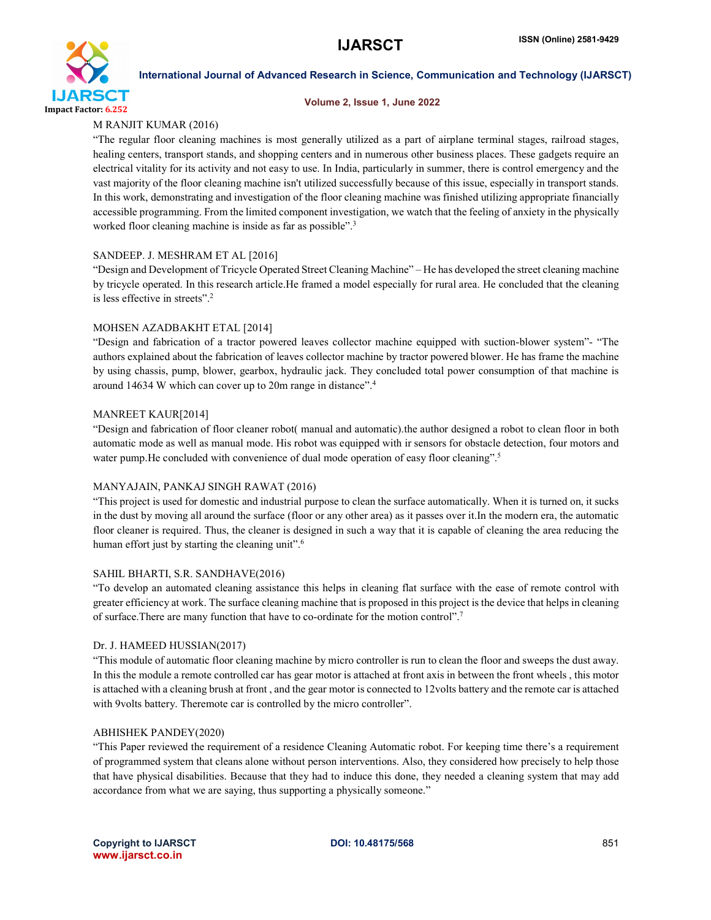

#### Volume 2, Issue 1, June 2022

# M RANJIT KUMAR (2016)

"The regular floor cleaning machines is most generally utilized as a part of airplane terminal stages, railroad stages, healing centers, transport stands, and shopping centers and in numerous other business places. These gadgets require an electrical vitality for its activity and not easy to use. In India, particularly in summer, there is control emergency and the vast majority of the floor cleaning machine isn't utilized successfully because of this issue, especially in transport stands. In this work, demonstrating and investigation of the floor cleaning machine was finished utilizing appropriate financially accessible programming. From the limited component investigation, we watch that the feeling of anxiety in the physically worked floor cleaning machine is inside as far as possible".<sup>3</sup>

# SANDEEP. J. MESHRAM ET AL [2016]

"Design and Development of Tricycle Operated Street Cleaning Machine" – He has developed the street cleaning machine by tricycle operated. In this research article.He framed a model especially for rural area. He concluded that the cleaning is less effective in streets".2

# MOHSEN AZADBAKHT ETAL [2014]

"Design and fabrication of a tractor powered leaves collector machine equipped with suction-blower system"- "The authors explained about the fabrication of leaves collector machine by tractor powered blower. He has frame the machine by using chassis, pump, blower, gearbox, hydraulic jack. They concluded total power consumption of that machine is around 14634 W which can cover up to 20m range in distance".4

# MANREET KAUR[2014]

"Design and fabrication of floor cleaner robot( manual and automatic).the author designed a robot to clean floor in both automatic mode as well as manual mode. His robot was equipped with ir sensors for obstacle detection, four motors and water pump. He concluded with convenience of dual mode operation of easy floor cleaning".<sup>5</sup>

# MANYAJAIN, PANKAJ SINGH RAWAT (2016)

"This project is used for domestic and industrial purpose to clean the surface automatically. When it is turned on, it sucks in the dust by moving all around the surface (floor or any other area) as it passes over it.In the modern era, the automatic floor cleaner is required. Thus, the cleaner is designed in such a way that it is capable of cleaning the area reducing the human effort just by starting the cleaning unit".<sup>6</sup>

# SAHIL BHARTI, S.R. SANDHAVE(2016)

"To develop an automated cleaning assistance this helps in cleaning flat surface with the ease of remote control with greater efficiency at work. The surface cleaning machine that is proposed in this project is the device that helps in cleaning of surface.There are many function that have to co-ordinate for the motion control".7

# Dr. J. HAMEED HUSSIAN(2017)

"This module of automatic floor cleaning machine by micro controller is run to clean the floor and sweeps the dust away. In this the module a remote controlled car has gear motor is attached at front axis in between the front wheels , this motor is attached with a cleaning brush at front , and the gear motor is connected to 12volts battery and the remote car is attached with 9volts battery. Theremote car is controlled by the micro controller".

# ABHISHEK PANDEY(2020)

"This Paper reviewed the requirement of a residence Cleaning Automatic robot. For keeping time there's a requirement of programmed system that cleans alone without person interventions. Also, they considered how precisely to help those that have physical disabilities. Because that they had to induce this done, they needed a cleaning system that may add accordance from what we are saying, thus supporting a physically someone."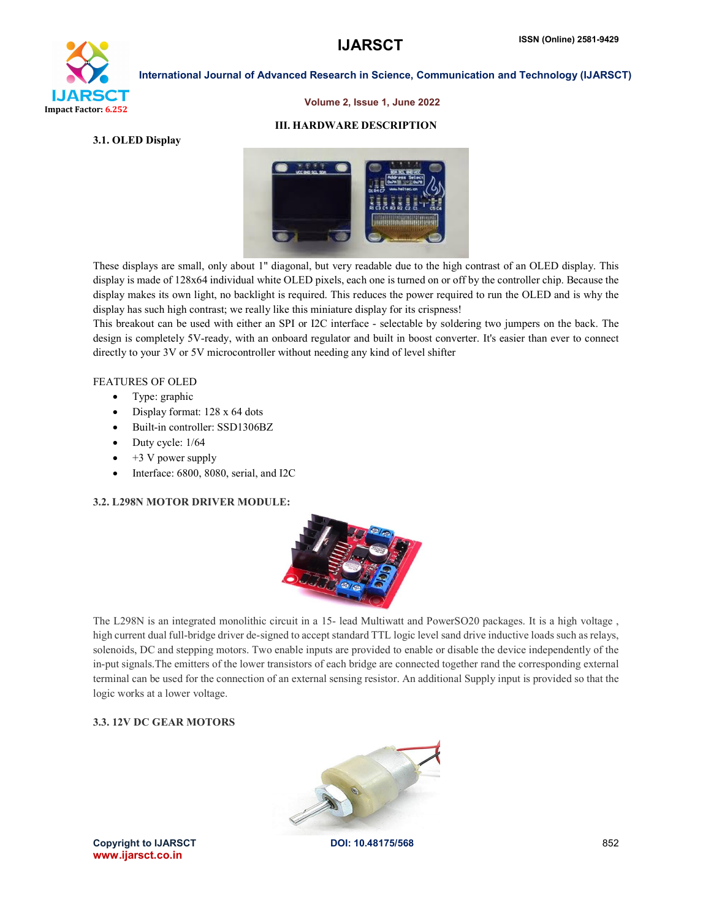

### Volume 2, Issue 1, June 2022

#### III. HARDWARE DESCRIPTION

# 3.1. OLED Display



These displays are small, only about 1" diagonal, but very readable due to the high contrast of an OLED display. This display is made of 128x64 individual white OLED pixels, each one is turned on or off by the controller chip. Because the display makes its own light, no backlight is required. This reduces the power required to run the OLED and is why the display has such high contrast; we really like this miniature display for its crispness!

This breakout can be used with either an SPI or I2C interface - selectable by soldering two jumpers on the back. The design is completely 5V-ready, with an onboard regulator and built in boost converter. It's easier than ever to connect directly to your 3V or 5V microcontroller without needing any kind of level shifter

#### FEATURES OF OLED

- Type: graphic
- Display format: 128 x 64 dots
- Built-in controller: SSD1306BZ
- Duty cycle: 1/64
- +3 V power supply
- Interface: 6800, 8080, serial, and I2C

#### 3.2. L298N MOTOR DRIVER MODULE:



The L298N is an integrated monolithic circuit in a 15- lead Multiwatt and PowerSO20 packages. It is a high voltage , high current dual full-bridge driver de-signed to accept standard TTL logic level sand drive inductive loads such as relays, solenoids, DC and stepping motors. Two enable inputs are provided to enable or disable the device independently of the in-put signals.The emitters of the lower transistors of each bridge are connected together rand the corresponding external terminal can be used for the connection of an external sensing resistor. An additional Supply input is provided so that the logic works at a lower voltage.

# 3.3. 12V DC GEAR MOTORS



Copyright to IJARSCT **DOI: 10.48175/568** 852 www.ijarsct.co.in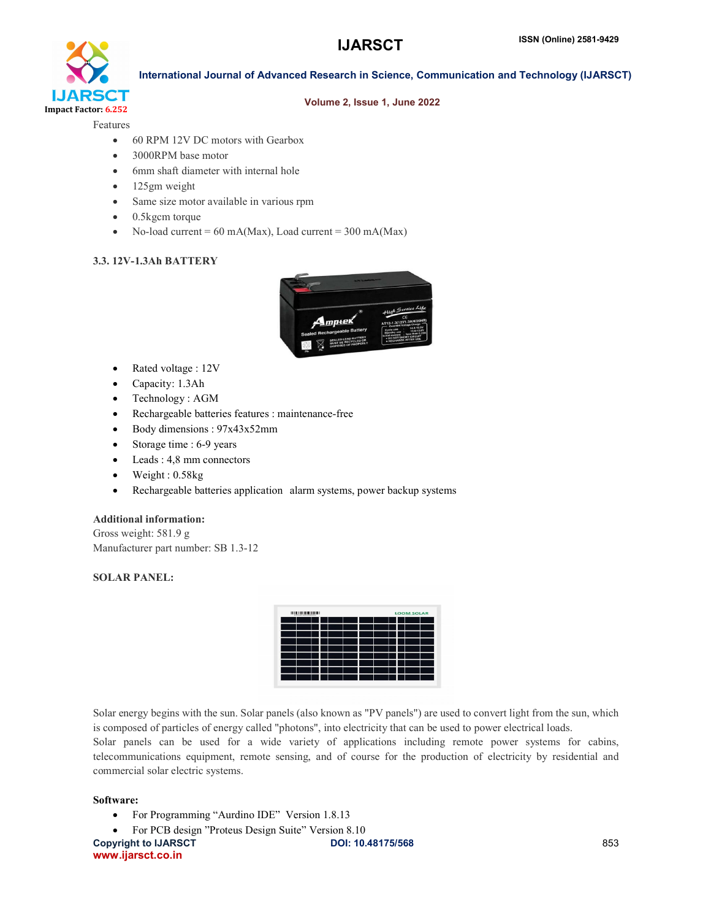

# Volume 2, Issue 1, June 2022

Features

- 60 RPM 12V DC motors with Gearbox
- 3000RPM base motor
- 6mm shaft diameter with internal hole
- 125gm weight
- Same size motor available in various rpm
- 0.5 kgcm torque
- No-load current =  $60 \text{ mA}(\text{Max})$ , Load current =  $300 \text{ mA}(\text{Max})$

# 3.3. 12V-1.3Ah BATTERY



- Rated voltage : 12V
- Capacity: 1.3Ah
- Technology : AGM
- Rechargeable batteries features : maintenance-free
- Body dimensions : 97x43x52mm
- Storage time : 6-9 years
- Leads : 4,8 mm connectors
- Weight : 0.58kg
- Rechargeable batteries application alarm systems, power backup systems

# Additional information:

Gross weight: 581.9 g Manufacturer part number: SB 1.3-12

# SOLAR PANEL:



Solar energy begins with the sun. Solar panels (also known as "PV panels") are used to convert light from the sun, which is composed of particles of energy called "photons", into electricity that can be used to power electrical loads. Solar panels can be used for a wide variety of applications including remote power systems for cabins,

telecommunications equipment, remote sensing, and of course for the production of electricity by residential and commercial solar electric systems.

# Software:

- For Programming "Aurdino IDE" Version 1.8.13
- Copyright to IJARSCT **DOI: 10.48175/568** 853 www.ijarsct.co.in • For PCB design "Proteus Design Suite" Version 8.10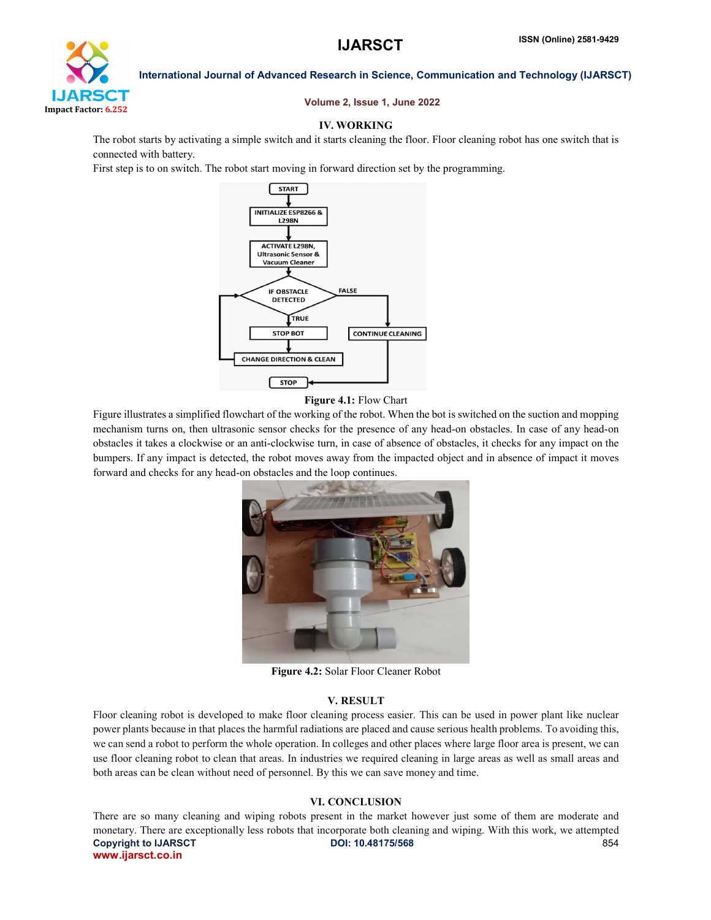

# Volume 2, Issue 1, June 2022

# IV. WORKING

The robot starts by activating a simple switch and it starts cleaning the floor. Floor cleaning robot has one switch that is connected with battery.

First step is to on switch. The robot start moving in forward direction set by the programming.



#### Figure 4.1: Flow Chart

Figure illustrates a simplified flowchart of the working of the robot. When the bot is switched on the suction and mopping mechanism turns on, then ultrasonic sensor checks for the presence of any head-on obstacles. In case of any head-on obstacles it takes a clockwise or an anti-clockwise turn, in case of absence of obstacles, it checks for any impact on the bumpers. If any impact is detected, the robot moves away from the impacted object and in absence of impact it moves forward and checks for any head-on obstacles and the loop continues.



Figure 4.2: Solar Floor Cleaner Robot

# V. RESULT

Floor cleaning robot is developed to make floor cleaning process easier. This can be used in power plant like nuclear power plants because in that places the harmful radiations are placed and cause serious health problems. To avoiding this, we can send a robot to perform the whole operation. In colleges and other places where large floor area is present, we can use floor cleaning robot to clean that areas. In industries we required cleaning in large areas as well as small areas and both areas can be clean without need of personnel. By this we can save money and time.

# VI. CONCLUSION

Copyright to IJARSCT **DOI: 10.48175/568** 854 www.ijarsct.co.in There are so many cleaning and wiping robots present in the market however just some of them are moderate and monetary. There are exceptionally less robots that incorporate both cleaning and wiping. With this work, we attempted